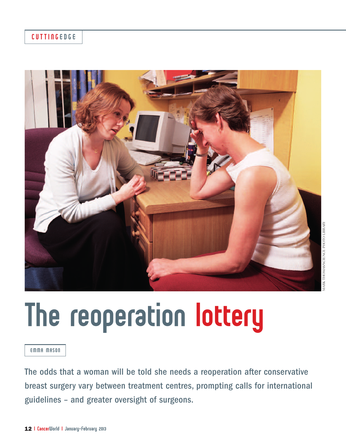## CUTTINGEDGE



# The reoperation lottery

#### EMMA MASON

The odds that a woman will be told she needs a reoperation after conservative breast surgery vary between treatment centres, prompting calls for international guidelines – and greater oversight of surgeons.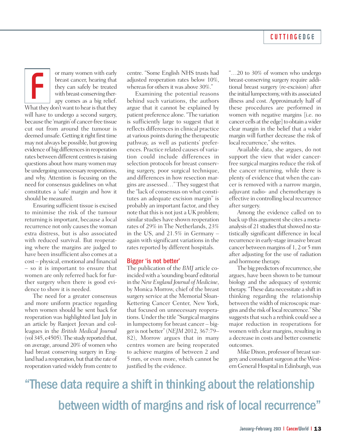or many women with early breast cancer, hearing that they can safely be treated with breast-conserving therapy comes as a big relief. For many women with early<br>the breast cancer, hearing that<br>they can safely be treated<br>with breast-conserving ther-<br>apy comes as a big relief.<br>What they don't want to hear is that they

will have to undergo a second surgery, because the 'margin'of cancer-free tissue cut out from around the tumour is deemed unsafe. Getting it right first time may not always be possible, but growing evidence of big differences in reoperation rates between different centres is raising questions about how many women may be undergoing unnecessary reoperations, and why. Attention is focusing on the need for consensus guidelines on what constitutes a 'safe' margin and how it should be measured.

Ensuring sufficient tissue is excised to minimise the risk of the tumour returning is important, because a local recurrence not only causes the woman extra distress, but is also associated with reduced survival. But reoperating where the margins are judged to have been insufficient also comes at a cost – physical, emotional and financial – so it is important to ensure that women are only referred back for further surgery when there is good evidence to show it is needed.

The need for a greater consensus and more uniform practice regarding when women should be sent back for reoperation was highlighted last July in an article by Ranjeet Jeevan and colleagues in the *British Medical Journal* (vol  $345$ , e $4505$ ). The study reported that, on average, around 20% of women who had breast conserving surgery in England had a reoperation, but that the rate of reoperation varied widely from centre to

centre. "Some English NHS trusts had adjusted reoperation rates below 10%, whereas for others it was above 30%."

Examining the potential reasons behind such variations, the authors argue that it cannot be explained by patient preference alone. "The variation is sufficiently large to suggest that it reflects differences in clinical practice at various points during the therapeutic pathway, as well as patients' preferences. Practice related causes of variation could include differences in selection protocols for breast conserving surgery, poor surgical technique, and differences in how resection margins are assessed…" They suggest that the "lack of consensus on what constitutes an adequate excision margin" is probably an important factor, and they note that this is not just a UK problem; similar studies have shown reoperation rates of 29% in The Netherlands, 23% in the US, and 21.5% in Germany – again with significant variations in the rates reported by different hospitals.

#### Bigger 'is not better'

The publication of the *BMJ* article coincidedwith a 'sounding board'editorial in the *NewEngland Journal of Medicine*, by Monica Morrow, chief of the breast surgery service at the Memorial Sloan-Kettering Cancer Center, New York, that focused on unnecessary reoperations. Under the title "Surgical margins in lumpectomy for breast cancer – biggeris not better"(*NEJM* 2012, 367:79– 82), Morrow argues that in many centres women are being reoperated to achieve margins of between 2 and 5 mm, or even more, which cannot be justified by the evidence.

"…20 to 30% of women who undergo breast-conserving surgery require additional breast surgery (re-excision) after the initial lumpectomy, with its associated illness and cost. Approximately half of these procedures are performed in women with negative margins [i.e. no cancer cells at the edge] to obtain a wider clear margin in the belief that a wider margin will further decrease the risk of local recurrence," she writes.

Available data, she argues, do not support the view that wider cancerfree surgical margins reduce the risk of the cancer returning, while there is plenty of evidence that when the cancer is removed with a narrow margin, adjuvant radio- and chemotherapy is effective in controlling local recurrence after surgery.

Among the evidence called on to back up this argument she cites a metaanalysis of 21 studies that showed no statistically significant difference in local recurrence in early-stage invasive breast cancer between margins of 1, 2 or 5 mm after adjusting for the use of radiation and hormone therapy.

The big predictors of recurrence, she argues, have been shown to be tumour biology and the adequacy of systemic therapy. "These data necessitate a shift in thinking regarding the relationship between the width of microscopic margins and the risk of local recurrence." She suggests that such a rethink could see a major reduction in reoperations for women with clear margins, resulting in a decrease in costs and better cosmetic outcomes.

Mike Dixon, professor of breast surgery and consultant surgeon at the Western General Hospital in Edinburgh, was

"These data require a shift in thinking about the relationship between width of margins and risk of local recurrence"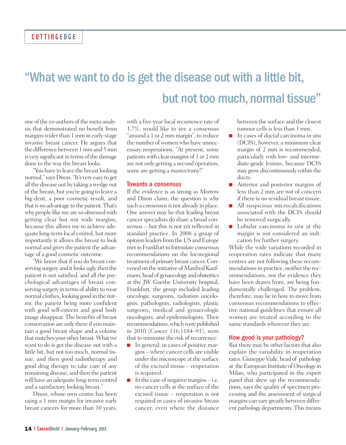# "What we want to do is get the disease out with a little bit, but not too much, normal tissue"

one of the co-authors of the meta-analysis that demonstrated no benefit from margins wider than 1 mm in early-stage invasive breast cancer. He argues that the difference between 1 mm and 5 mm is very significant in terms of the damage done to the way the breast looks.

"You have to leave the breast looking normal,"says Dixon."It's very easy to get all the disease out by taking awedge out of the breast, but you're going to leave a big dent, a poor cosmetic result, and that is no advantage to the patient. That's why people like me are so obsessed with getting clear but not wide margins, because this allows me to achieve adequate long-term local control, but more importantly it allows the breast to look normal and gives the patient the advantage of a good cosmetic outcome.

"We know that if you do breast conserving surgery and it looks ugly, then the patient is not satisfied, and all the psychological advantages of breast conserving surgery in terms of ability towear normal clothes, looking good in themirror, the patient being more confident with good self-esteem and good body image disappear. The benefits of breast conservation are only there if you maintain a good breast shape and a volume that matches your other breast. What we want to do is get the disease out with a little bit, but not too much, normal tissue, and then good radiotherapy and good drug therapy to take care of any remaining disease, and then the patient will have an adequate long-term control and a satisfactory looking breast."

Dixon, whose own centre has been using a 1 mm margin for invasive early breast cancers for more than 10 years, with a five-year local recurrence rate of 1.7%, would like to see a consensus "around a 1 or 2 mm margin", to reduce the number of women who have unnecessary reoperations. "At present, some patientswith clearmargins of 1 or 2mm are not only getting a second operation, some are getting a mastectomy!"

#### Towards a consensus

If the evidence is as strong as Morrow and Dixon claim, the question is why such a consensus is not already in place. One answer may be that leading breast cancer specialists do share a broad consensus – but this is not yet reflected in standard practice. In 2008 a group of opinion leaders from the US and Europe met in Frankfurt to formulate consensus recommendations on the locoregional treatment of primary breast cancer.Convened on the initiative of Manfred Kaufmann, head of gynaecology and obstetrics at the JW Goethe University hospital, Frankfurt, the group included leading oncologic surgeons, radiation oncologists, pathologists, radiologists, plastic surgeons, medical and gynaecologic oncologists, and epidemiologists. Their recommendations, which were published in 2010 (*Cancer* 116:1184–91), were that to minimise the risk of recurrence:

- In general, in cases of positive margins – where cancer cells are visible under the microscope at the surface of the excised tissue – reoperation is required.
- In the case of negative margins i.e. no cancer cells at the surface of the excised tissue – reoperation is not required in cases of invasive breast cancer, even where the distance

between the surface and the closest tumour cells is less than 1 mm.

- **■** In cases of ductal carcinoma *in situ* (DCIS), however, a minimum clear margin of 2 mm is recommended, particularly with low- and intermediate-grade lesions, because DCIS may growdiscontinuouslywithin the ducts.
- Anterior and posterior margins of less than 2 mm are not of concern if there is no residual breast tissue.
- All suspicious microcalcifications associated with the DCIS should be removed surgically.
- **■** Lobular carcinoma *in situ* at the margin is not considered an indication for further surgery.

While the wide variations recorded in reoperation rates indicate that many centres are not following these recommendations in practice, neither the recommendations, nor the evidence they have been drawn from, are being fundamentally challenged. The problem, therefore, may lie in how to move from consensus recommendations to effective national guidelines that ensure all women are treated according to the same standards wherever they are.

#### How good is your pathology?

But there may be other factors that also explain the variability in reoperation rates.GiuseppeViale, head of pathology at the European Institute of Oncology in Milan, who participated in the expert panel that drew up the recommendations, says the quality of specimen processing and the assessment of surgical margins can vary greatly between different pathology departments. This means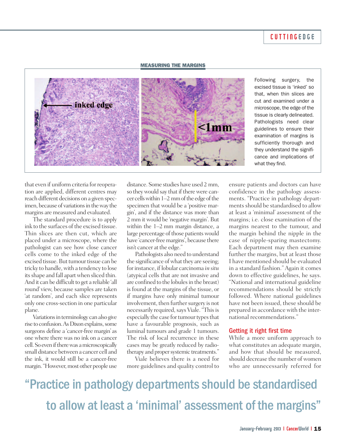### CUTTINGEDGE

#### **MEASURING THE MARGINS**



Following surgery, the excised tissue is 'inked' so that, when thin slices are cut and examined under a microscope, the edge of the tissue is clearly delineated. Pathologists need clear guidelines to ensure their examination of margins is sufficiently thorough and they understand the significance and implications of what they find.

that even if uniform criteria forreoperation are applied, different centres may reach different decisions on a given specimen, because of variations in the way the margins are measured and evaluated.

The standard procedure is to apply ink to the surfaces of the excised tissue. Thin slices are then cut, which are placed under a microscope, where the pathologist can see how close cancer cells come to the inked edge of the excised tissue. But tumour tissue can be tricky to handle, with a tendency to lose its shape and fall apart when sliced thin. And it can be difficult to get a reliable 'all round' view, because samples are taken 'at random', and each slice represents only one cross-section in one particular plane.

Variations in terminology can also give rise to confusion. As Dixon explains, some surgeons define a 'cancer-free margin' as one where there was no ink on a cancer cell. So even if there was a microscopically small distance between a cancer cell and the ink, it would still be a cancer-free margin. "However, most other people use

distance. Some studies have used 2 mm, so theywould say that if therewere cancer cells within 1–2 mm of the edge of the specimen that would be a 'positive margin', and if the distance was more than 2 mm it would be 'negative margin'. But within the 1–2 mm margin distance, a large percentage of those patients would have 'cancer-freemargins', because there isn't cancer at the edge."

Pathologists also need to understand the significance of what they are seeing; for instance, if lobular carcinoma *in* situ (atypical cells that are not invasive and are confined to the lobules in the breast) is found at the margins of the tissue, or if margins have only minimal tumour involvement, then further surgery is not necessarily required, says Viale. "This is especially the case for tumour types that have a favourable prognosis, such as luminal tumours and grade 1 tumours. The risk of local recurrence in these cases may be greatly reduced by radiotherapy and proper systemic treatments."

Viale believes there is a need for more guidelines and quality control to

ensure patients and doctors can have confidence in the pathology assessments. "Practice in pathology departments should be standardised to allow at least a 'minimal' assessment of the margins; i.e. close examination of the margins nearest to the tumour, and the margin behind the nipple in the case of nipple-sparing mastectomy. Each department may then examine further the margins, but at least those I have mentioned should be evaluated in a standard fashion." Again it comes down to effective guidelines, he says. "National and international guideline recommendations should be strictly followed. Where national guidelines have not been issued, these should be prepared in accordance with the international recommendations."

#### Getting it right first time

While a more uniform approach to what constitutes an adequate margin, and how that should be measured, should decrease the number of women who are unnecessarily referred for

"Practice in pathology departments should be standardised to allow at least a 'minimal' assessment of the margins"